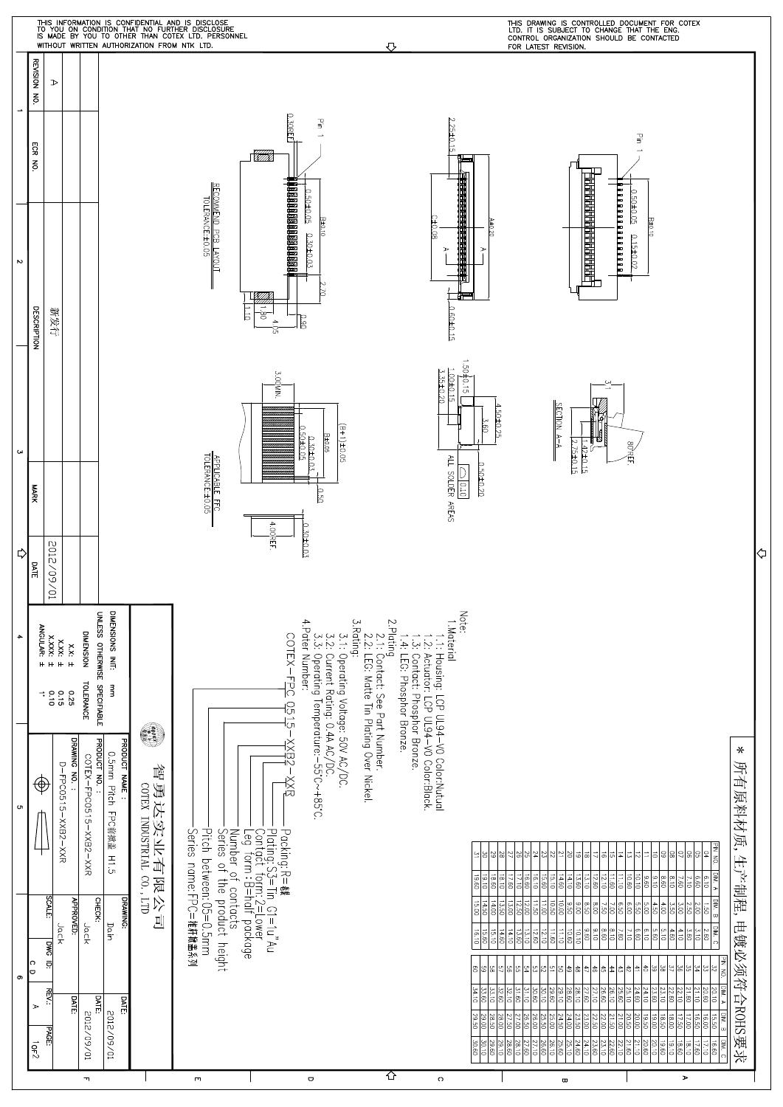|                  |                                  |                                                     |                                       |                                                                 | WITHOUT WRITTEN AUTHORIZATION FROM NTK LTD. | THIS INFORMATION IS CONFIDENTIAL AND IS DISCLOSE<br>TO YOU ON CONDITION THAT NO FURTHER DISCLOSURE<br>IS MADE BY YOU TO OTHER THAN COTEX LTD. PERSONNEL |                                     |                                                                                                                   | ⇩                                                                                       |                                                                                                                                                    |                                                                                                                                     | THIS DRAWING IS CONTROLLED DOCUMENT FOR COTEX<br>LTD. IT IS SUBJECT TO CHANGE THAT THE ENG.<br>CONTROL ORGANIZATION SHOULD BE CONTACTED<br>FOR LATEST REVISION.                                              |                                                                                                        |                                                                                                                |                                                                                                                                                        |                               |   |
|------------------|----------------------------------|-----------------------------------------------------|---------------------------------------|-----------------------------------------------------------------|---------------------------------------------|---------------------------------------------------------------------------------------------------------------------------------------------------------|-------------------------------------|-------------------------------------------------------------------------------------------------------------------|-----------------------------------------------------------------------------------------|----------------------------------------------------------------------------------------------------------------------------------------------------|-------------------------------------------------------------------------------------------------------------------------------------|--------------------------------------------------------------------------------------------------------------------------------------------------------------------------------------------------------------|--------------------------------------------------------------------------------------------------------|----------------------------------------------------------------------------------------------------------------|--------------------------------------------------------------------------------------------------------------------------------------------------------|-------------------------------|---|
| $\rightarrow$    | REVISION NO.                     | $\triangleright$                                    |                                       |                                                                 |                                             |                                                                                                                                                         |                                     |                                                                                                                   |                                                                                         |                                                                                                                                                    |                                                                                                                                     |                                                                                                                                                                                                              |                                                                                                        |                                                                                                                |                                                                                                                                                        |                               |   |
|                  | ECR<br>$\overline{5}$            |                                                     |                                       |                                                                 |                                             |                                                                                                                                                         | 0.30REF                             | 굏<br>$\overline{\phantom{a}}$<br>0.50±0.05                                                                        |                                                                                         | 2.25±0.15                                                                                                                                          |                                                                                                                                     |                                                                                                                                                                                                              |                                                                                                        | 골<br>0.50±0.05                                                                                                 |                                                                                                                                                        |                               |   |
| $\sim$           | <b>DESCRIPTION</b>               | 新发行                                                 |                                       |                                                                 |                                             | RECOMMEND PCB LAYOUT<br>TOLERANCE:±0.05<br>$\frac{1}{5}$                                                                                                | 888888888888888888<br>$-50$<br>4.05 | B±0.10<br>0.30±0.03<br>Þ<br>0.90                                                                                  |                                                                                         | 210.08<br>$\triangleright$<br>0.60±0.15                                                                                                            | $\frac{1}{100}$<br>ъ                                                                                                                |                                                                                                                                                                                                              | 888888888888                                                                                           | B±0.10<br>$0.15 \pm 0.02$                                                                                      |                                                                                                                                                        |                               |   |
| $\mathsf{G}$     |                                  |                                                     |                                       |                                                                 |                                             |                                                                                                                                                         | 3.00MIN.                            | $(B+1) \pm 0.05$<br>0.50±0.05<br>B±0.05<br>$0.30 \pm 0.03$                                                        |                                                                                         | 1.00±0.15<br>3.35±0.20                                                                                                                             | 1.50±0.15<br>$4.50 \pm 0.25$<br>3.60                                                                                                | <b>CTION</b><br>$\frac{1}{2}$                                                                                                                                                                                | 2.75±0.15                                                                                              | 80 REF.                                                                                                        |                                                                                                                                                        |                               |   |
|                  | <b>MARK</b>                      |                                                     |                                       |                                                                 |                                             | APPLICABLE FFC<br>TOLERANCE: ±0.05                                                                                                                      | 4.00REF                             | 0.50<br>0.30±0.03                                                                                                 |                                                                                         | ALL SOLDER AREAS<br>$\frac{1}{2}$                                                                                                                  | 0.50±0.20                                                                                                                           |                                                                                                                                                                                                              |                                                                                                        |                                                                                                                |                                                                                                                                                        |                               |   |
| ⇨                | <b>DATE</b>                      | 10/60/2102                                          |                                       |                                                                 |                                             |                                                                                                                                                         |                                     |                                                                                                                   |                                                                                         |                                                                                                                                                    |                                                                                                                                     |                                                                                                                                                                                                              |                                                                                                        |                                                                                                                |                                                                                                                                                        |                               | ⇦ |
| $\blacktriangle$ |                                  | X.XXX:<br>ANGULAR:<br>x.xx<br>$\mathbf{H}$<br>$+ +$ | DIMENSION<br>$x.x: \pm$               | DIMENSIONS INIT:<br>UNLESS OTHERWISE SPECIFIABLE                |                                             |                                                                                                                                                         |                                     | 4. Pater Number:                                                                                                  |                                                                                         | Note:<br>1. Material                                                                                                                               |                                                                                                                                     |                                                                                                                                                                                                              |                                                                                                        |                                                                                                                |                                                                                                                                                        |                               |   |
|                  |                                  | $\frac{0.16}{0.5}$                                  | <b>TOLERANCE</b><br>0.25              | mm                                                              | C                                           |                                                                                                                                                         |                                     |                                                                                                                   |                                                                                         |                                                                                                                                                    |                                                                                                                                     |                                                                                                                                                                                                              |                                                                                                        |                                                                                                                |                                                                                                                                                        |                               |   |
| <b>Ch</b>        | ⊕                                | D-FPC0519-XXB2-XXB                                  | DRAWING NO.<br>COTEX-FPC0515-XXB2-XXR | <b>PRODUCT NO.</b><br>PRODUCT NAME:<br>O.Gunn Pitch LPC標業婦 H1.5 | 智勇达实业有限公司<br>COTEX INDUSTRIAL CO., LTD      |                                                                                                                                                         | conex-repc dp.15-xxegx-xxe          | 3.1: Operating Voltage: 50V AC/DC.<br>3.2: Current Rating: 0.4A AC/DC.<br>3.3: Operating Temperature:–55'C~+85'C. | 2.Plating<br>2.1: Contact: See Part Number.<br>2.2: LEG: Matte Tin Plating Over Nickel. | 1.1: Housing: LCP UL94–VO Color:Nutual<br>1.2: Actuator: LCP UL94–VO Color:Black.<br>1.3: Contact: Phosphor Bronze.<br>.1.4: LEG: Phosphor Bronze. |                                                                                                                                     |                                                                                                                                                                                                              |                                                                                                        |                                                                                                                |                                                                                                                                                        | ⋇<br>所有原料材质,生产制程,电镀必须符合ROHS要求 |   |
|                  |                                  | SCALE:                                              | <b>APPROVED:</b>                      | DRAWING:<br>CHECK:                                              |                                             | Series name:FPC=推杆掀盖系列<br>Pitch between: Ob=0.5mm<br>Number of contacts<br>Series of the product height                                                 |                                     |                                                                                                                   |                                                                                         |                                                                                                                                                    | $\frac{2}{3}$<br>28<br>한 학                                                                                                          | 히의의영<br>의원의<br>$\frac{25}{4}$<br>$\frac{18.60}{17.50}$<br>행<br>15.10<br>$\frac{13.60}{14.60}$<br>$\begin{array}{c c}\n\hline\n0 & 0 \\ \hline\n0 & 0 \\ \hline\n0 & 0\n\end{array}$<br>$\frac{12.96}{12.50}$ | $\vec{\circ}$<br>히<br>ᇬ<br>$rac{12.60}{13.10}$<br>$\frac{11.60}{12.10}$<br>$ \ddot{\ddot{\bf s}} $     | 8<br> 5<br>$rac{1}{100}$<br>$\frac{10.10}{2}$<br>$rac{6}{6}$<br>8.60<br>CS.S<br>$rac{3}{8}$<br>ġ               | PIN NO.<br>이성<br>ຘ<br>DIM. A<br>$\frac{9}{3}$<br>M. B<br>sl                                                                                            |                               |   |
| თ                | ∣౧<br>lо                         | Jack<br><b>DWG</b><br>ē                             | Jack                                  | Dain                                                            |                                             |                                                                                                                                                         |                                     |                                                                                                                   |                                                                                         |                                                                                                                                                    | 회회회회<br>$\frac{336}{54.10}$<br>$\frac{31.60}{32.60}$<br>33.10                                                                       | 한테리리아<br>이 <u>리</u><br>최혜<br>$\frac{30.10}{30.60}$<br>29.60<br>$\frac{28.10}{28.60}$<br>31.10                                                                                                                | z <br>위호<br>$\frac{26.60}{27.60}$<br>26.10                                                             | $ \tilde{z} \tilde{z} $<br>5.10<br>$rac{43}{13}$<br>$\frac{23.60}{24.60}$<br>$\frac{25.10}{25.60}$             | $\frac{101M}{2.60}$<br>$rac{4.8}{60}$<br>18<br>[최정]영경[영경]원경]<br>21.60<br>$\frac{22.10}{22.10}$<br>$\frac{20.60}{21.10}$<br>20.10                       |                               |   |
|                  | $\blacktriangleright$<br>$10F^2$ | REV.:<br>PAGE:                                      | <b>DATE:</b><br>F0/60/2102            | <b>DATE:</b><br>DATE:<br>10/60/2102                             |                                             |                                                                                                                                                         |                                     |                                                                                                                   |                                                                                         |                                                                                                                                                    | $\frac{29.00}{29.50}$<br>$\frac{27.96}{27.50}$<br>28.50<br>$rac{28.00}{28.60}$<br>$\frac{30.60}{2}$<br>$rac{29.10}{29.10}$<br>29.60 | $\frac{23.50}{24.50}$<br>$\frac{25.50}{26.00}$<br>26.50<br>25.00<br>26.60<br>26.10<br>$\frac{25.10}{25.60}$<br>27.60                                                                                         | $\frac{25}{21.5}$<br>$\frac{258}{258}$<br>$\frac{23.60}{24.10}$<br>23.10<br>24.60<br>$\frac{22.60}{ }$ | $\frac{05.61}{00.61}$<br>18.50<br>20.00<br>$\frac{21.10}{21.60}$<br>$\frac{20.00}{20.60}$<br>$\frac{19.61}{2}$ | PIN NO. DIM. A DIM. B DIM. C<br>$\frac{17.50}{18.00}$<br>17.00<br>$rac{16.50}{16.50}$<br>$\frac{18.60}{\ }$<br>18.10<br>$\frac{17.50}{17.60}$<br>09.91 |                               |   |
|                  |                                  |                                                     | $\mathbf{\tau}$                       |                                                                 |                                             | $\blacksquare$                                                                                                                                          |                                     | $\hbox{\tt\small o}$                                                                                              | ⇧                                                                                       | $\circ$                                                                                                                                            |                                                                                                                                     | $\pmb{\varpi}$                                                                                                                                                                                               |                                                                                                        |                                                                                                                | $\blacktriangleright$                                                                                                                                  |                               |   |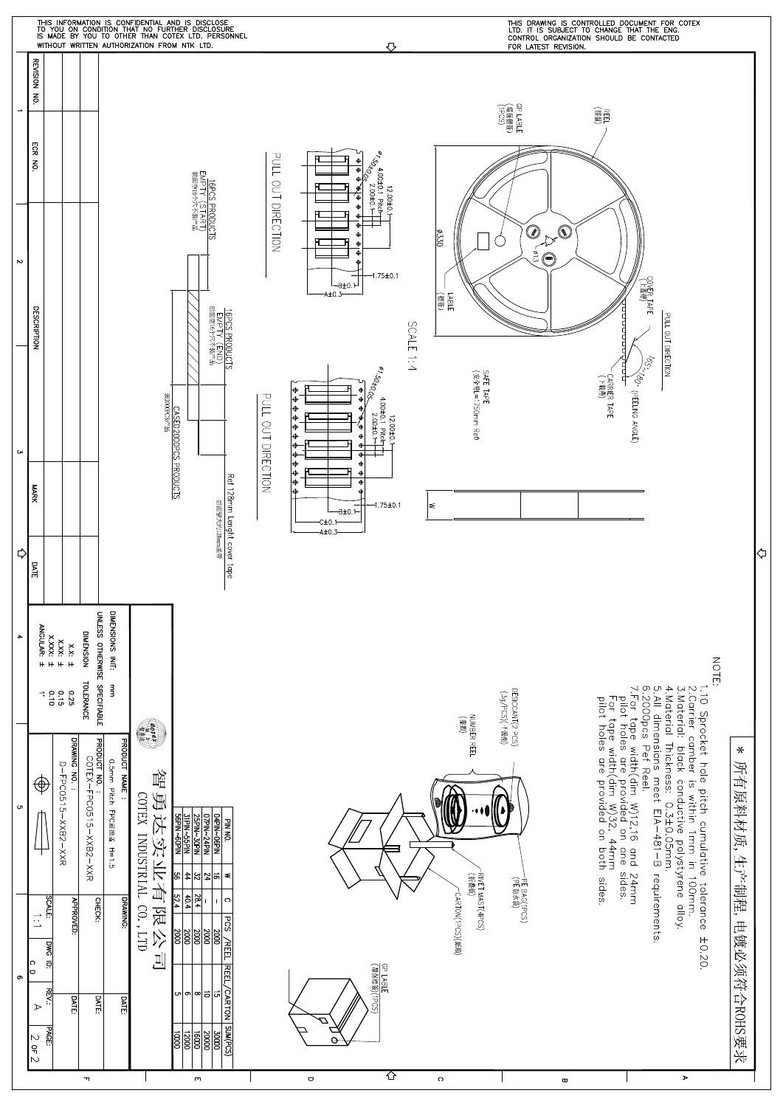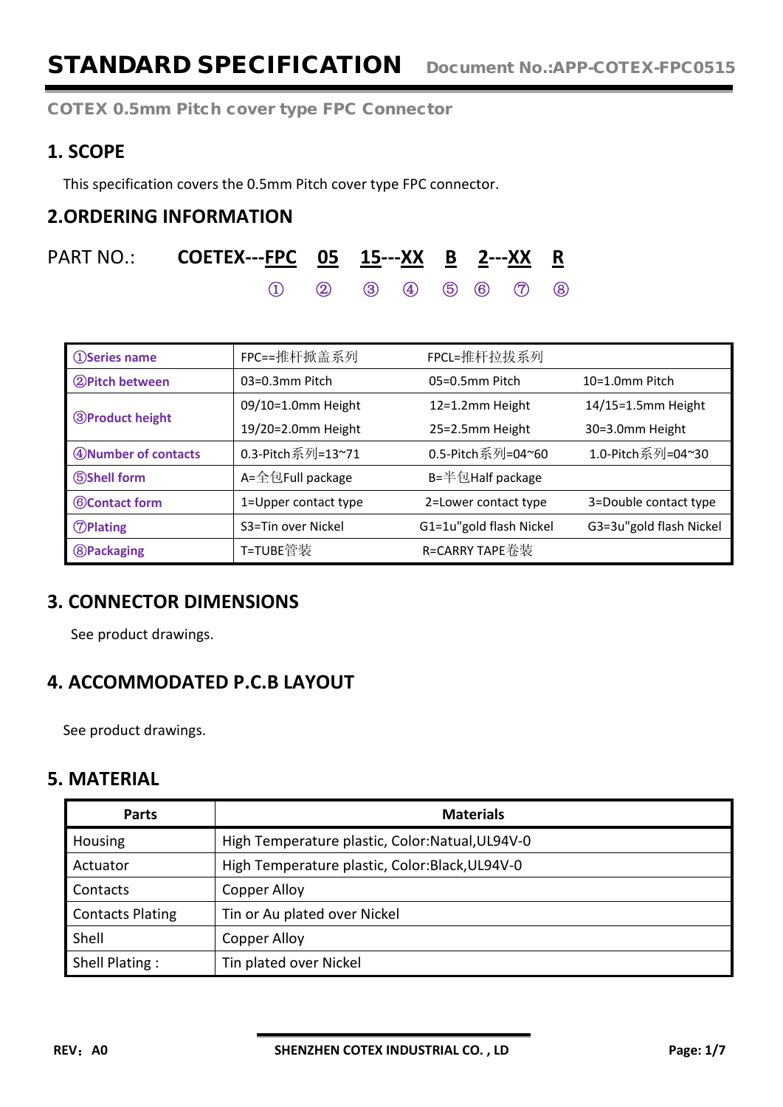### **1. SCOPE**

This specification covers the 0.5mm Pitch cover type FPC connector.

### **2.ORDERING INFORMATION**

| PART NO.: <b>COETEX---<u>FPC     05</u> <u>15</u>---<u>XX     B</u> <u>2</u>---<u>XX     R</u></b> |  |  |  |  |
|----------------------------------------------------------------------------------------------------|--|--|--|--|
| $(1)$ $(2)$ $(3)$ $(4)$ $(5)$ $(6)$ $(7)$ $(8)$                                                    |  |  |  |  |

| <b>1</b> Series name   | FPC==推杆掀盖系列          | FPCL=推杆拉拔系列             |                         |  |
|------------------------|----------------------|-------------------------|-------------------------|--|
| 2 Pitch between        | $03=0.3$ mm Pitch    | 05=0.5mm Pitch          | $10=1.0$ mm Pitch       |  |
|                        | 09/10=1.0mm Height   | 12=1.2mm Height         | 14/15=1.5mm Height      |  |
| <b>3Product height</b> | 19/20=2.0mm Height   | 25=2.5mm Height         | 30=3.0mm Height         |  |
| 4 Number of contacts   | 0.3-Pitch系列=13~71    | 0.5-Pitch系列=04~60       | 1.0-Pitch系列=04~30       |  |
| <b>5Shell form</b>     | A=全包Full package     | B=半包Half package        |                         |  |
| <b>6</b> Contact form  | 1=Upper contact type | 2=Lower contact type    | 3=Double contact type   |  |
| <b><i>OPlating</i></b> | S3=Tin over Nickel   | G1=1u"gold flash Nickel | G3=3u"gold flash Nickel |  |
| <b>8</b> Packaging     | T=TUBE管装             | R=CARRY TAPE卷装          |                         |  |

### **3. CONNECTOR DIMENSIONS**

See product drawings.

# **4. ACCOMMODATED P.C.B LAYOUT**

See product drawings.

### **5. MATERIAL**

| <b>Parts</b>            | <b>Materials</b>                                 |
|-------------------------|--------------------------------------------------|
| Housing                 | High Temperature plastic, Color: Natual, UL94V-0 |
| Actuator                | High Temperature plastic, Color:Black, UL94V-0   |
| Contacts                | Copper Alloy                                     |
| <b>Contacts Plating</b> | Tin or Au plated over Nickel                     |
| Shell                   | Copper Alloy                                     |
| Shell Plating:          | Tin plated over Nickel                           |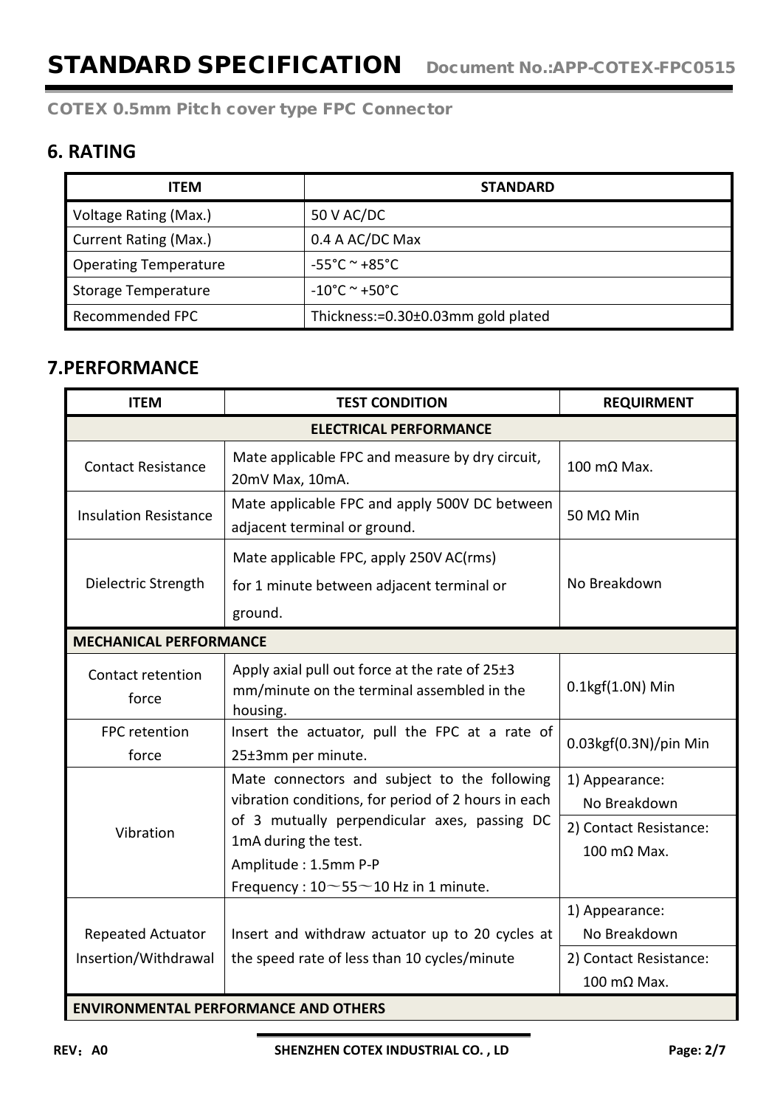## **6. RATING**

| <b>ITEM</b>                  | <b>STANDARD</b>                    |
|------------------------------|------------------------------------|
| Voltage Rating (Max.)        | 50 V AC/DC                         |
| <b>Current Rating (Max.)</b> | 0.4 A AC/DC Max                    |
| <b>Operating Temperature</b> | $-55^{\circ}$ C ~ +85 $^{\circ}$ C |
| <b>Storage Temperature</b>   | $-10^{\circ}$ C ~ +50 $^{\circ}$ C |
| Recommended FPC              | Thickness:=0.30±0.03mm gold plated |

## **7.PERFORMANCE**

| <b>ITEM</b>                               | <b>TEST CONDITION</b>                                                                                                                               | <b>REQUIRMENT</b>                                        |
|-------------------------------------------|-----------------------------------------------------------------------------------------------------------------------------------------------------|----------------------------------------------------------|
|                                           | <b>ELECTRICAL PERFORMANCE</b>                                                                                                                       |                                                          |
| <b>Contact Resistance</b>                 | Mate applicable FPC and measure by dry circuit,<br>20mV Max, 10mA.                                                                                  | $100 \text{ m}\Omega$ Max.                               |
| <b>Insulation Resistance</b>              | Mate applicable FPC and apply 500V DC between<br>adjacent terminal or ground.                                                                       | 50 MΩ Min                                                |
| Dielectric Strength                       | Mate applicable FPC, apply 250V AC(rms)<br>for 1 minute between adjacent terminal or<br>ground.                                                     | No Breakdown                                             |
| <b>MECHANICAL PERFORMANCE</b>             |                                                                                                                                                     |                                                          |
| Contact retention<br>force                | Apply axial pull out force at the rate of 25±3<br>mm/minute on the terminal assembled in the<br>housing.                                            | $0.1$ kgf $(1.0N)$ Min                                   |
| FPC retention<br>force                    | Insert the actuator, pull the FPC at a rate of<br>25±3mm per minute.                                                                                | 0.03kgf(0.3N)/pin Min                                    |
|                                           | Mate connectors and subject to the following<br>vibration conditions, for period of 2 hours in each                                                 | 1) Appearance:<br>No Breakdown                           |
| Vibration                                 | of 3 mutually perpendicular axes, passing DC<br>1mA during the test.<br>Amplitude: 1.5mm P-P<br>Frequency: $10\!\sim\!55\!\sim\!10$ Hz in 1 minute. | 2) Contact Resistance:<br>$100 \text{ m}\Omega$ Max.     |
| Repeated Actuator<br>Insertion/Withdrawal | Insert and withdraw actuator up to 20 cycles at<br>the speed rate of less than 10 cycles/minute                                                     | 1) Appearance:<br>No Breakdown<br>2) Contact Resistance: |
|                                           |                                                                                                                                                     | 100 mΩ Max.                                              |
|                                           | <b>ENVIRONMENTAL PERFORMANCE AND OTHERS</b>                                                                                                         |                                                          |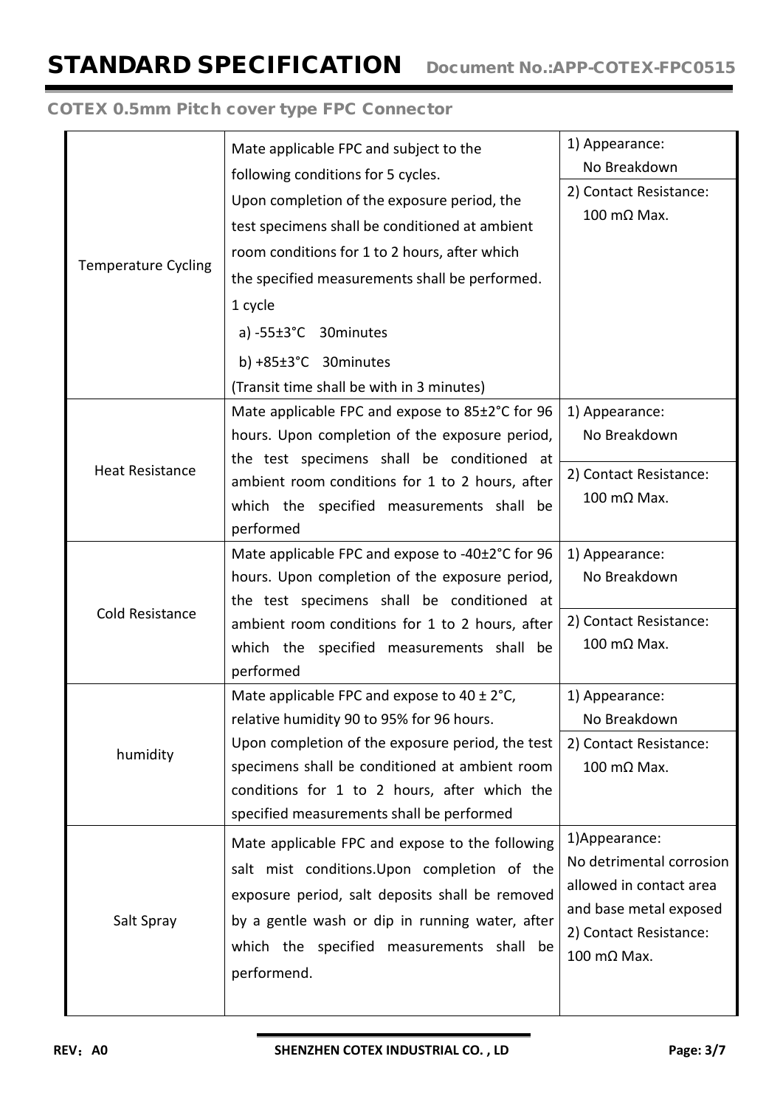|                            | Mate applicable FPC and subject to the                                                    | 1) Appearance:<br>No Breakdown |
|----------------------------|-------------------------------------------------------------------------------------------|--------------------------------|
|                            | following conditions for 5 cycles.                                                        | 2) Contact Resistance:         |
|                            | Upon completion of the exposure period, the                                               | 100 mΩ Max.                    |
|                            | test specimens shall be conditioned at ambient                                            |                                |
| <b>Temperature Cycling</b> | room conditions for 1 to 2 hours, after which                                             |                                |
|                            | the specified measurements shall be performed.                                            |                                |
|                            | 1 cycle                                                                                   |                                |
|                            | a) $-55\pm3$ °C 30 minutes                                                                |                                |
|                            | b) $+85\pm3$ °C 30 minutes                                                                |                                |
|                            | (Transit time shall be with in 3 minutes)                                                 |                                |
|                            | Mate applicable FPC and expose to 85±2°C for 96                                           | 1) Appearance:                 |
|                            | hours. Upon completion of the exposure period,                                            | No Breakdown                   |
|                            | the test specimens shall be conditioned at                                                |                                |
| <b>Heat Resistance</b>     | ambient room conditions for 1 to 2 hours, after                                           | 2) Contact Resistance:         |
|                            | which the specified measurements shall be                                                 | 100 mΩ Max.                    |
|                            | performed                                                                                 |                                |
|                            | Mate applicable FPC and expose to -40±2°C for 96                                          | 1) Appearance:                 |
|                            | hours. Upon completion of the exposure period,                                            | No Breakdown                   |
| Cold Resistance            | the test specimens shall be conditioned at                                                |                                |
|                            | ambient room conditions for 1 to 2 hours, after                                           | 2) Contact Resistance:         |
|                            | which the specified measurements shall be                                                 | 100 mΩ Max.                    |
|                            | performed                                                                                 |                                |
|                            | Mate applicable FPC and expose to $40 \pm 2^{\circ}$ C,                                   | 1) Appearance:                 |
|                            | relative humidity 90 to 95% for 96 hours.                                                 | No Breakdown                   |
| humidity                   | Upon completion of the exposure period, the test                                          | 2) Contact Resistance:         |
|                            | specimens shall be conditioned at ambient room                                            | $100 \text{ m}\Omega$ Max.     |
|                            | conditions for 1 to 2 hours, after which the<br>specified measurements shall be performed |                                |
|                            |                                                                                           | 1) Appearance:                 |
|                            | Mate applicable FPC and expose to the following                                           | No detrimental corrosion       |
|                            | salt mist conditions. Upon completion of the                                              | allowed in contact area        |
|                            | exposure period, salt deposits shall be removed                                           | and base metal exposed         |
| Salt Spray                 | by a gentle wash or dip in running water, after                                           | 2) Contact Resistance:         |
|                            | which the specified measurements shall be                                                 | 100 mΩ Max.                    |
|                            | performend.                                                                               |                                |
|                            |                                                                                           |                                |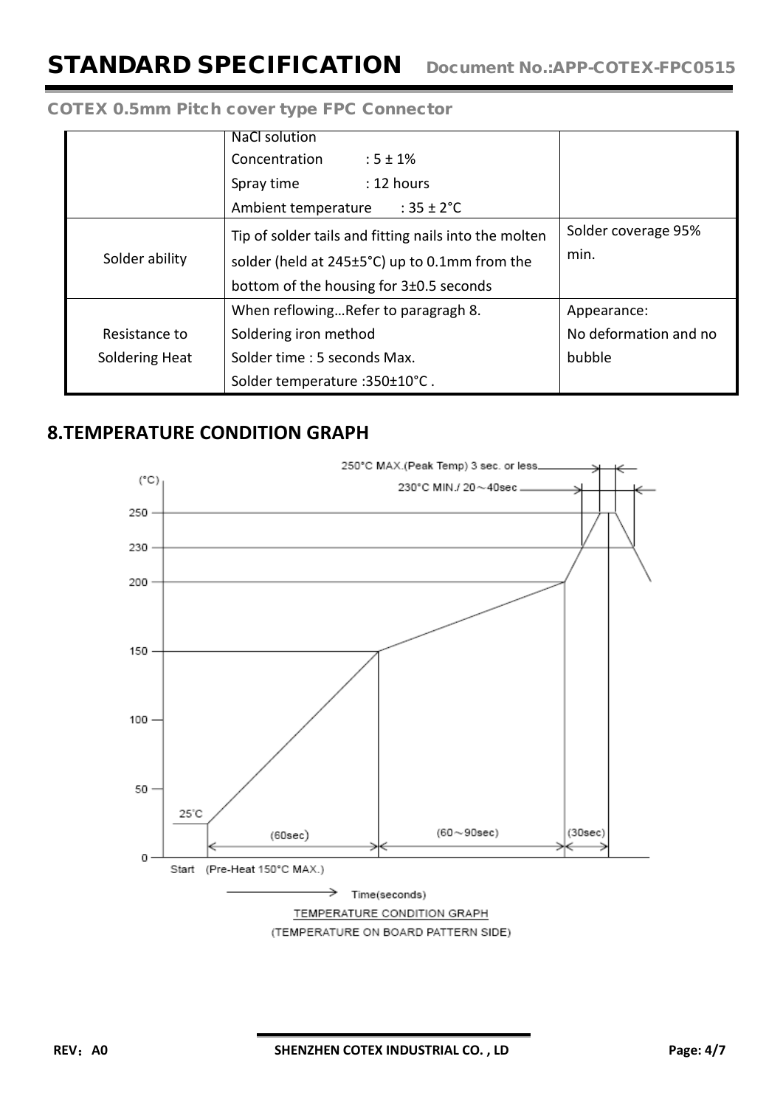|                | <b>NaCl solution</b>                                  |                       |
|----------------|-------------------------------------------------------|-----------------------|
|                | Concentration<br>$:5 \pm 1\%$                         |                       |
|                | : 12 hours<br>Spray time                              |                       |
|                | Ambient temperature<br>: $35 \pm 2^{\circ}$ C         |                       |
|                | Tip of solder tails and fitting nails into the molten | Solder coverage 95%   |
| Solder ability | solder (held at 245±5°C) up to 0.1mm from the         | min.                  |
|                | bottom of the housing for $3\pm0.5$ seconds           |                       |
|                | When reflowingRefer to paragragh 8.                   | Appearance:           |
| Resistance to  | Soldering iron method                                 | No deformation and no |
| Soldering Heat | Solder time : 5 seconds Max.                          | bubble                |
|                | Solder temperature : 350±10°C.                        |                       |

### **8.TEMPERATURE CONDITION GRAPH**

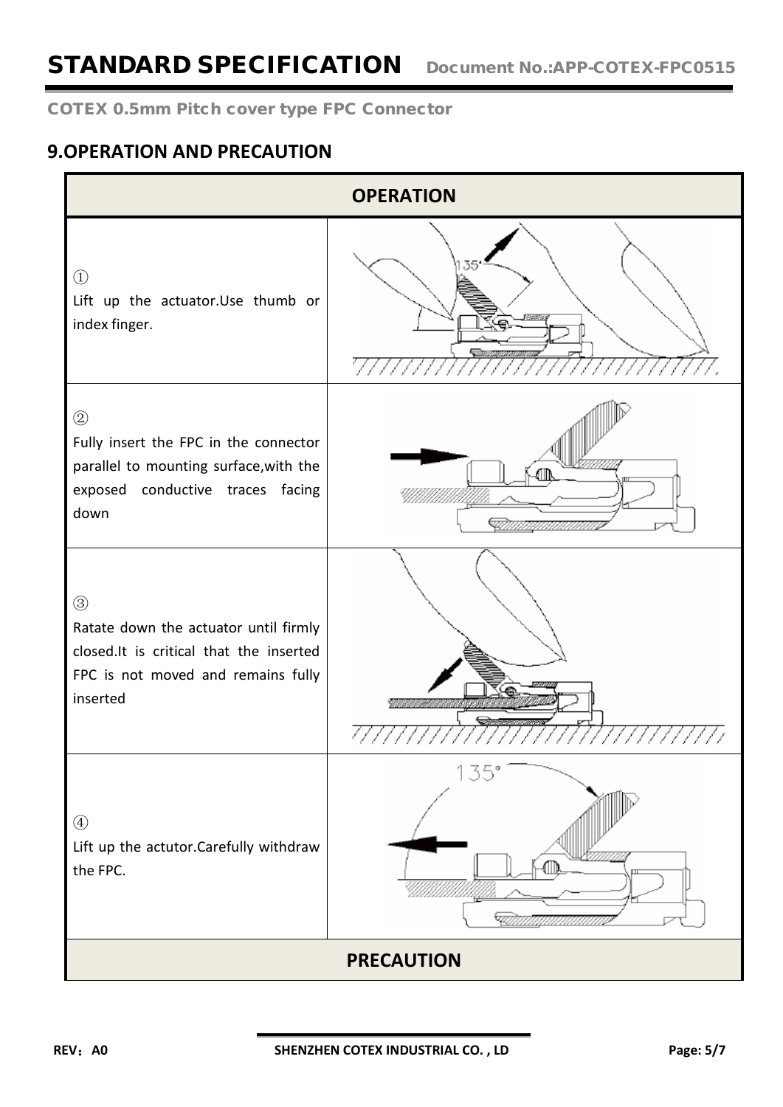# STANDARD SPECIFICATION Document No.:APP-COTEX-FPC0515

### COTEX 0.5mm Pitch cover type FPC Connector

### **9.OPERATION AND PRECAUTION**

|                                                                                                                                                   | <b>OPERATION</b> |  |  |  |  |
|---------------------------------------------------------------------------------------------------------------------------------------------------|------------------|--|--|--|--|
| $\bigcirc$<br>Lift up the actuator.Use thumb or<br>index finger.                                                                                  |                  |  |  |  |  |
| $\circled{2}$<br>Fully insert the FPC in the connector<br>parallel to mounting surface, with the<br>exposed conductive traces facing<br>down      |                  |  |  |  |  |
| $\circledS$<br>Ratate down the actuator until firmly<br>closed.It is critical that the inserted<br>FPC is not moved and remains fully<br>inserted |                  |  |  |  |  |
| $\circled{4}$<br>Lift up the actutor.Carefully withdraw<br>the FPC.                                                                               | 135              |  |  |  |  |
| <b>PRECAUTION</b>                                                                                                                                 |                  |  |  |  |  |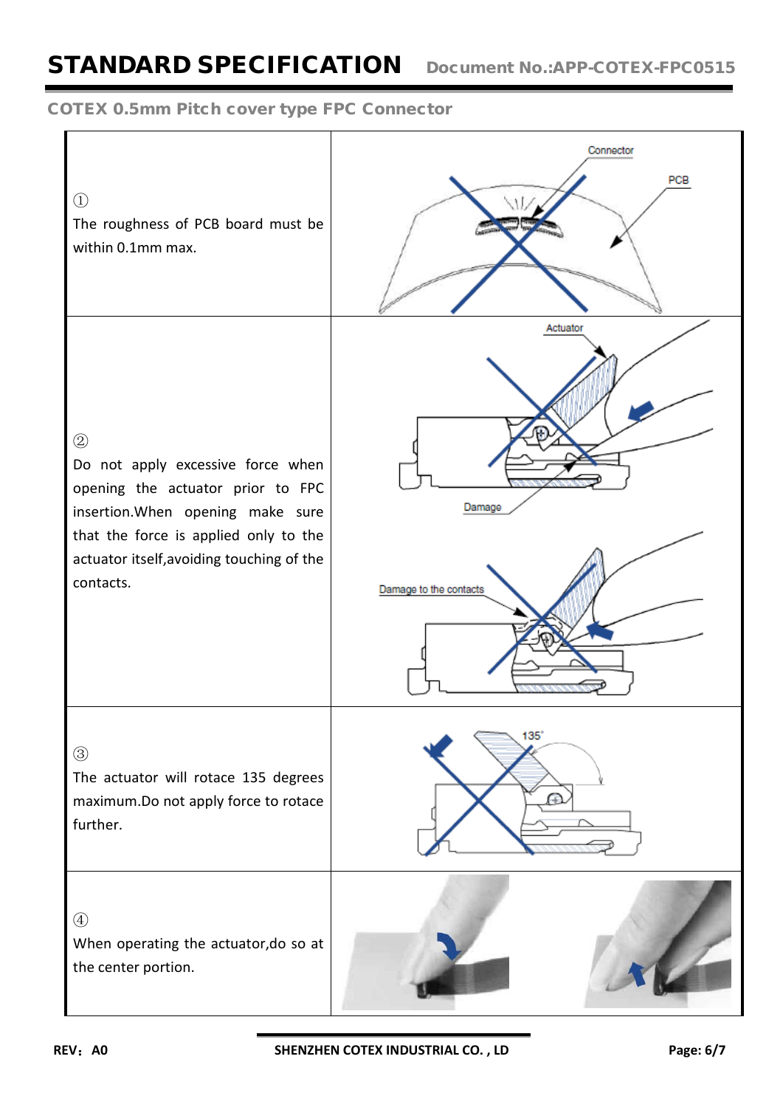# STANDARD SPECIFICATION Document No.:APP-COTEX-FPC0515

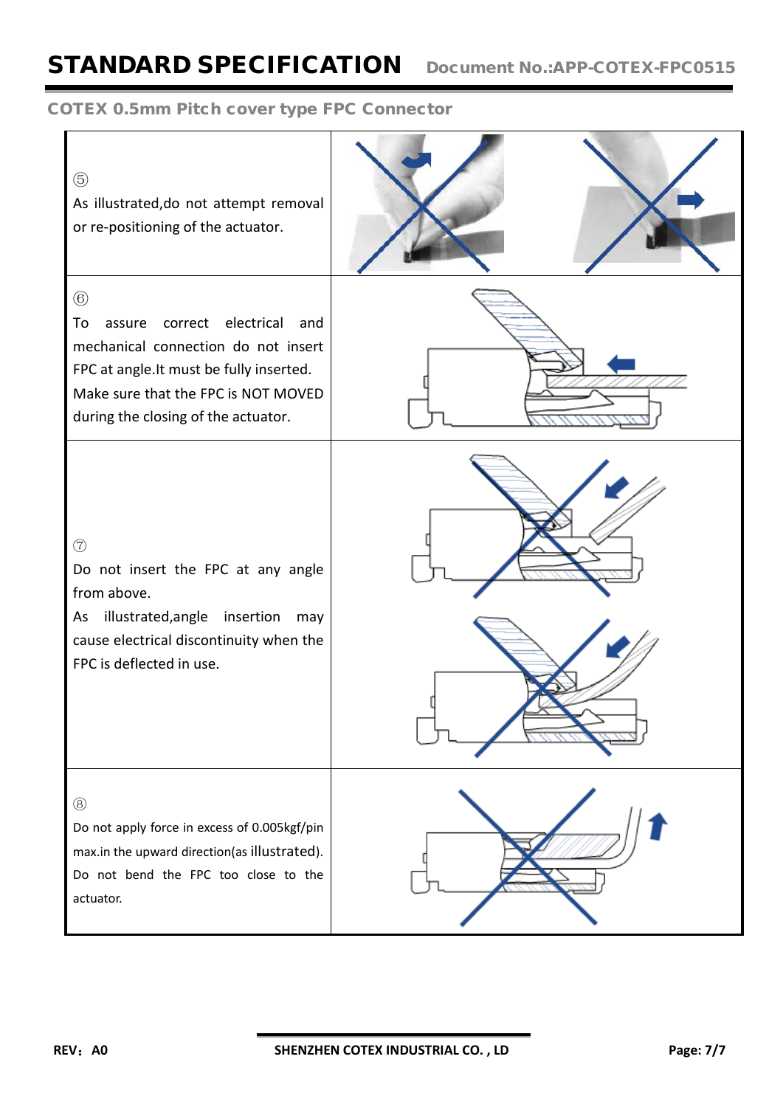# STANDARD SPECIFICATION Document No.:APP-COTEX-FPC0515

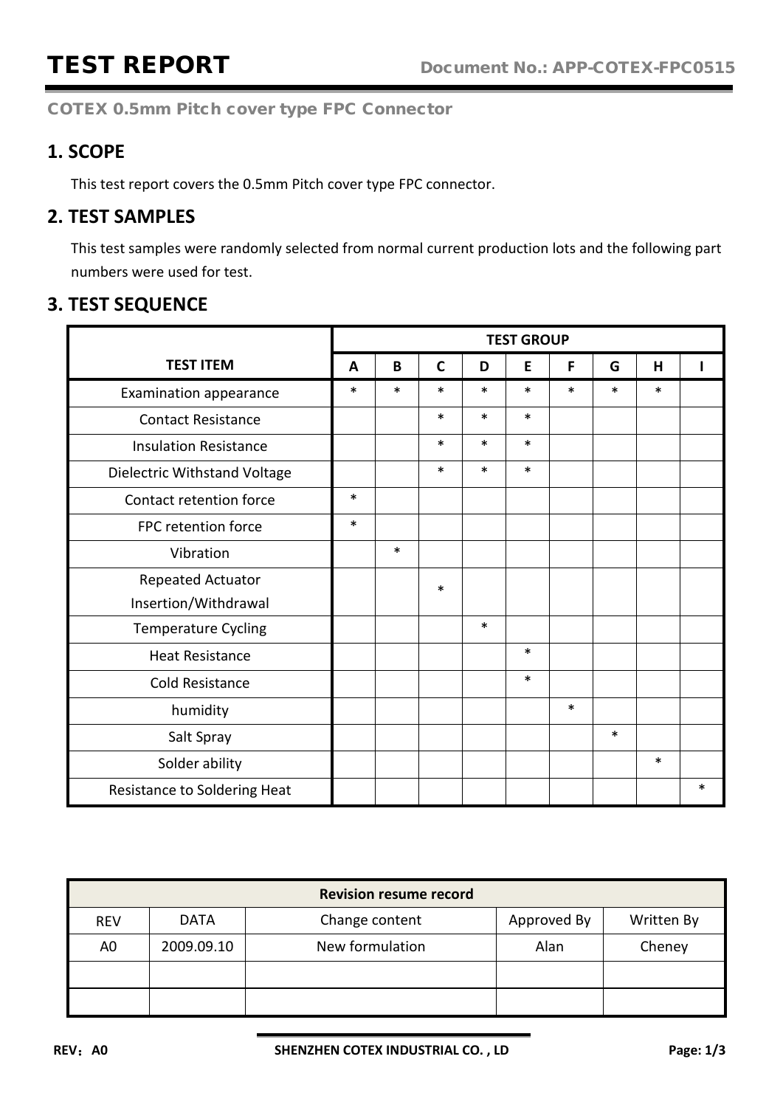### **1. SCOPE**

This test report covers the 0.5mm Pitch cover type FPC connector.

### **2. TEST SAMPLES**

This test samples were randomly selected from normal current production lots and the following part numbers were used for test.

### **3. TEST SEQUENCE**

|                              |        | <b>TEST GROUP</b> |             |        |        |        |        |        |        |
|------------------------------|--------|-------------------|-------------|--------|--------|--------|--------|--------|--------|
| <b>TEST ITEM</b>             | A      | B                 | $\mathbf c$ | D      | E      | F      | G      | H      |        |
| Examination appearance       | $\ast$ | $\ast$            | $\ast$      | *      | $\ast$ | *      | *      | $\ast$ |        |
| <b>Contact Resistance</b>    |        |                   | $\ast$      | $\ast$ | $\ast$ |        |        |        |        |
| <b>Insulation Resistance</b> |        |                   | $\ast$      | $\ast$ | $\ast$ |        |        |        |        |
| Dielectric Withstand Voltage |        |                   | $\ast$      | $\ast$ | $\ast$ |        |        |        |        |
| Contact retention force      | $\ast$ |                   |             |        |        |        |        |        |        |
| FPC retention force          | $\ast$ |                   |             |        |        |        |        |        |        |
| Vibration                    |        | $\ast$            |             |        |        |        |        |        |        |
| Repeated Actuator            |        |                   | $\ast$      |        |        |        |        |        |        |
| Insertion/Withdrawal         |        |                   |             |        |        |        |        |        |        |
| <b>Temperature Cycling</b>   |        |                   |             | $\ast$ |        |        |        |        |        |
| <b>Heat Resistance</b>       |        |                   |             |        | $\ast$ |        |        |        |        |
| <b>Cold Resistance</b>       |        |                   |             |        | $\ast$ |        |        |        |        |
| humidity                     |        |                   |             |        |        | $\ast$ |        |        |        |
| Salt Spray                   |        |                   |             |        |        |        | $\ast$ |        |        |
| Solder ability               |        |                   |             |        |        |        |        | $\ast$ |        |
| Resistance to Soldering Heat |        |                   |             |        |        |        |        |        | $\ast$ |

|                | <b>Revision resume record</b> |                 |             |            |  |  |  |  |
|----------------|-------------------------------|-----------------|-------------|------------|--|--|--|--|
| <b>REV</b>     | <b>DATA</b>                   | Change content  | Approved By | Written By |  |  |  |  |
| A <sub>0</sub> | 2009.09.10                    | New formulation | Alan        | Cheney     |  |  |  |  |
|                |                               |                 |             |            |  |  |  |  |
|                |                               |                 |             |            |  |  |  |  |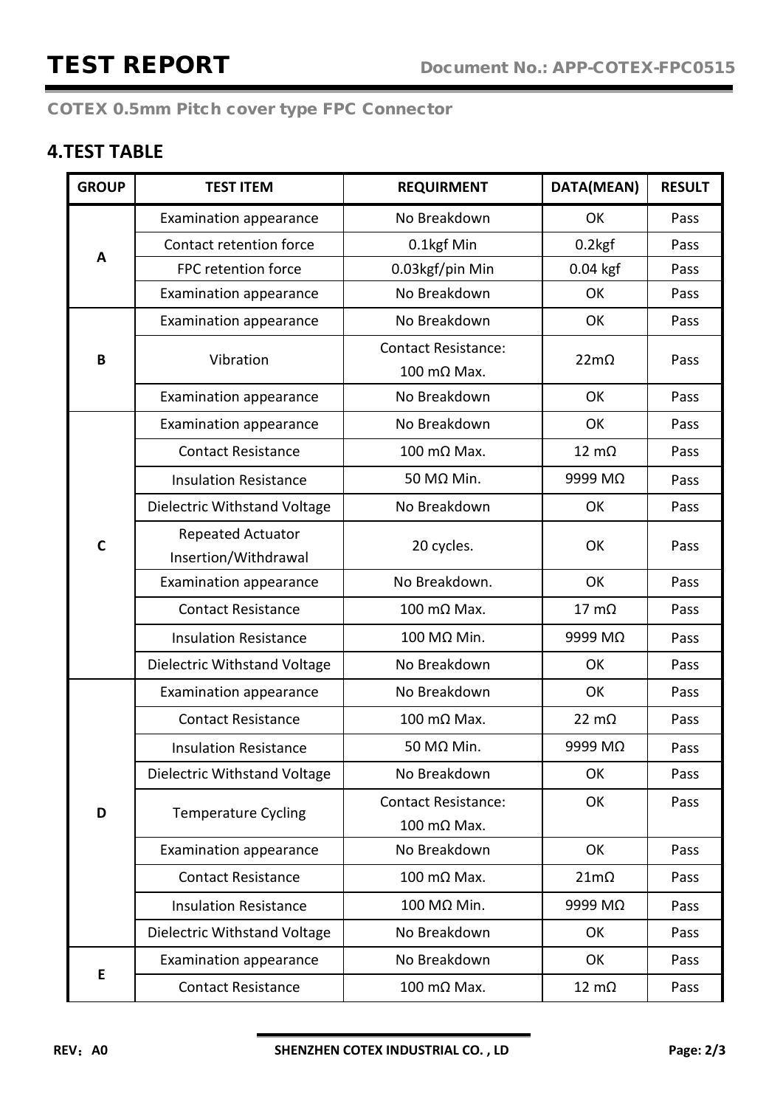## **4.TEST TABLE**

| <b>GROUP</b> | <b>TEST ITEM</b>                          | <b>REQUIRMENT</b>                         | DATA(MEAN)            | <b>RESULT</b> |
|--------------|-------------------------------------------|-------------------------------------------|-----------------------|---------------|
|              | <b>Examination appearance</b>             | No Breakdown                              | OK                    | Pass          |
|              | Contact retention force                   | 0.1kgf Min                                | $0.2$ <sub>kg</sub> f | Pass          |
| A            | FPC retention force                       | 0.03kgf/pin Min                           | $0.04$ kgf            | Pass          |
|              | <b>Examination appearance</b>             | No Breakdown                              | OK                    | Pass          |
|              | Examination appearance                    | No Breakdown                              | OK                    | Pass          |
| B            | Vibration                                 | <b>Contact Resistance:</b><br>100 mΩ Max. | $22m\Omega$           | Pass          |
|              | <b>Examination appearance</b>             | No Breakdown                              | OK                    | Pass          |
|              | <b>Examination appearance</b>             | No Breakdown                              | OK                    | Pass          |
|              | <b>Contact Resistance</b>                 | $100 \text{ m}\Omega$ Max.                | $12 \text{ m}\Omega$  | Pass          |
|              | <b>Insulation Resistance</b>              | 50 MΩ Min.                                | 9999 MΩ               | Pass          |
|              | Dielectric Withstand Voltage              | No Breakdown                              | OK                    | Pass          |
| $\mathbf c$  | Repeated Actuator<br>Insertion/Withdrawal | 20 cycles.                                | OK                    | Pass          |
|              | Examination appearance                    | No Breakdown.                             | OK                    | Pass          |
|              | <b>Contact Resistance</b>                 | 100 mΩ Max.                               | $17 \text{ mA}$       | Pass          |
|              | <b>Insulation Resistance</b>              | 100 MΩ Min.                               | 9999 MΩ               | Pass          |
|              | Dielectric Withstand Voltage              | No Breakdown                              | OK                    | Pass          |
|              | Examination appearance                    | No Breakdown                              | OK                    | Pass          |
|              | <b>Contact Resistance</b>                 | 100 mΩ Max.                               | $22 \text{ mA}$       | Pass          |
|              | <b>Insulation Resistance</b>              | 50 MΩ Min.                                | 9999 MΩ               | Pass          |
|              | Dielectric Withstand Voltage              | No Breakdown                              | OK                    | Pass          |
| D            | <b>Temperature Cycling</b>                | <b>Contact Resistance:</b><br>100 mΩ Max. | OK                    | Pass          |
|              | Examination appearance                    | No Breakdown                              | OK                    | Pass          |
|              | <b>Contact Resistance</b>                 | 100 mΩ Max.                               | $21m\Omega$           | Pass          |
|              | <b>Insulation Resistance</b>              | 100 MΩ Min.                               | 9999 MΩ               | Pass          |
|              | Dielectric Withstand Voltage              | No Breakdown                              | OK                    | Pass          |
|              | Examination appearance                    | No Breakdown                              | OK                    | Pass          |
| E            | <b>Contact Resistance</b>                 | 100 mΩ Max.                               | $12 \text{ m}\Omega$  | Pass          |